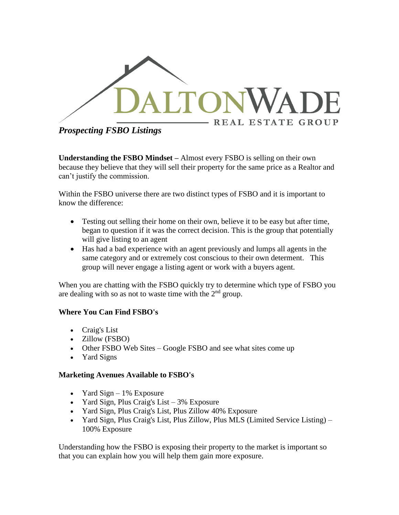

*Prospecting FSBO Listings*

**Understanding the FSBO Mindset –** Almost every FSBO is selling on their own because they believe that they will sell their property for the same price as a Realtor and can't justify the commission.

Within the FSBO universe there are two distinct types of FSBO and it is important to know the difference:

- Testing out selling their home on their own, believe it to be easy but after time, began to question if it was the correct decision. This is the group that potentially will give listing to an agent
- Has had a bad experience with an agent previously and lumps all agents in the same category and or extremely cost conscious to their own determent. This group will never engage a listing agent or work with a buyers agent.

When you are chatting with the FSBO quickly try to determine which type of FSBO you are dealing with so as not to waste time with the  $2<sup>nd</sup>$  group.

# **Where You Can Find FSBO's**

- Craig's List
- Zillow (FSBO)
- Other FSBO Web Sites Google FSBO and see what sites come up
- Yard Signs

## **Marketing Avenues Available to FSBO's**

- Yard Sign  $-1\%$  Exposure
- Yard Sign, Plus Craig's List 3% Exposure
- Yard Sign, Plus Craig's List, Plus Zillow 40% Exposure
- Yard Sign, Plus Craig's List, Plus Zillow, Plus MLS (Limited Service Listing) 100% Exposure

Understanding how the FSBO is exposing their property to the market is important so that you can explain how you will help them gain more exposure.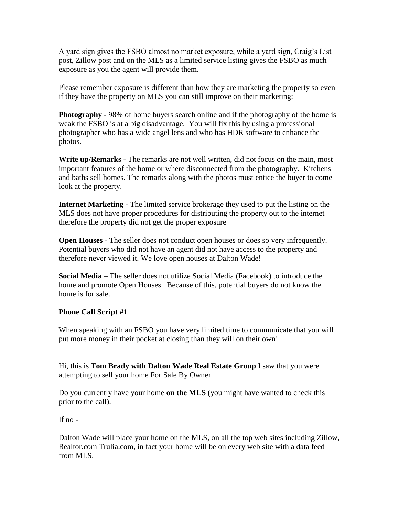A yard sign gives the FSBO almost no market exposure, while a yard sign, Craig's List post, Zillow post and on the MLS as a limited service listing gives the FSBO as much exposure as you the agent will provide them.

Please remember exposure is different than how they are marketing the property so even if they have the property on MLS you can still improve on their marketing:

**Photography** - 98% of home buyers search online and if the photography of the home is weak the FSBO is at a big disadvantage. You will fix this by using a professional photographer who has a wide angel lens and who has HDR software to enhance the photos.

**Write up/Remarks** - The remarks are not well written, did not focus on the main, most important features of the home or where disconnected from the photography. Kitchens and baths sell homes. The remarks along with the photos must entice the buyer to come look at the property.

**Internet Marketing** - The limited service brokerage they used to put the listing on the MLS does not have proper procedures for distributing the property out to the internet therefore the property did not get the proper exposure

**Open Houses** - The seller does not conduct open houses or does so very infrequently. Potential buyers who did not have an agent did not have access to the property and therefore never viewed it. We love open houses at Dalton Wade!

**Social Media** – The seller does not utilize Social Media (Facebook) to introduce the home and promote Open Houses. Because of this, potential buyers do not know the home is for sale.

#### **Phone Call Script #1**

When speaking with an FSBO you have very limited time to communicate that you will put more money in their pocket at closing than they will on their own!

Hi, this is **Tom Brady with Dalton Wade Real Estate Group** I saw that you were attempting to sell your home For Sale By Owner.

Do you currently have your home **on the MLS** (you might have wanted to check this prior to the call).

If  $no -$ 

Dalton Wade will place your home on the MLS, on all the top web sites including Zillow, Realtor.com Trulia.com, in fact your home will be on every web site with a data feed from MLS.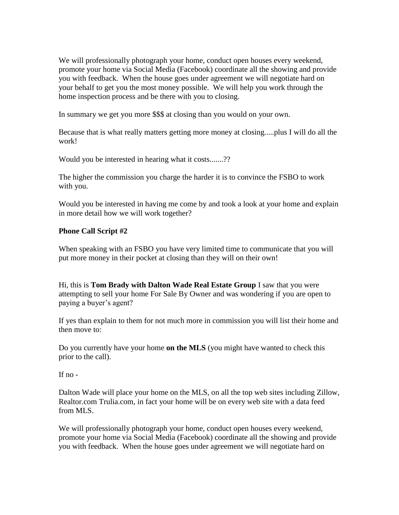We will professionally photograph your home, conduct open houses every weekend, promote your home via Social Media (Facebook) coordinate all the showing and provide you with feedback. When the house goes under agreement we will negotiate hard on your behalf to get you the most money possible. We will help you work through the home inspection process and be there with you to closing.

In summary we get you more \$\$\$ at closing than you would on your own.

Because that is what really matters getting more money at closing.....plus I will do all the work!

Would you be interested in hearing what it costs.......??

The higher the commission you charge the harder it is to convince the FSBO to work with you.

Would you be interested in having me come by and took a look at your home and explain in more detail how we will work together?

### **Phone Call Script #2**

When speaking with an FSBO you have very limited time to communicate that you will put more money in their pocket at closing than they will on their own!

Hi, this is **Tom Brady with Dalton Wade Real Estate Group** I saw that you were attempting to sell your home For Sale By Owner and was wondering if you are open to paying a buyer's agent?

If yes than explain to them for not much more in commission you will list their home and then move to:

Do you currently have your home **on the MLS** (you might have wanted to check this prior to the call).

If  $no -$ 

Dalton Wade will place your home on the MLS, on all the top web sites including Zillow, Realtor.com Trulia.com, in fact your home will be on every web site with a data feed from MLS.

We will professionally photograph your home, conduct open houses every weekend, promote your home via Social Media (Facebook) coordinate all the showing and provide you with feedback. When the house goes under agreement we will negotiate hard on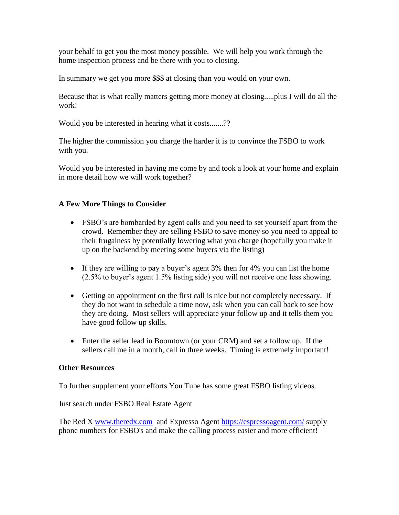your behalf to get you the most money possible. We will help you work through the home inspection process and be there with you to closing.

In summary we get you more \$\$\$ at closing than you would on your own.

Because that is what really matters getting more money at closing.....plus I will do all the work!

Would you be interested in hearing what it costs.......??

The higher the commission you charge the harder it is to convince the FSBO to work with you.

Would you be interested in having me come by and took a look at your home and explain in more detail how we will work together?

## **A Few More Things to Consider**

- FSBO's are bombarded by agent calls and you need to set yourself apart from the crowd. Remember they are selling FSBO to save money so you need to appeal to their frugalness by potentially lowering what you charge (hopefully you make it up on the backend by meeting some buyers via the listing)
- If they are willing to pay a buyer's agent 3% then for 4% you can list the home (2.5% to buyer's agent 1.5% listing side) you will not receive one less showing.
- Getting an appointment on the first call is nice but not completely necessary. If they do not want to schedule a time now, ask when you can call back to see how they are doing. Most sellers will appreciate your follow up and it tells them you have good follow up skills.
- Enter the seller lead in Boomtown (or your CRM) and set a follow up. If the sellers call me in a month, call in three weeks. Timing is extremely important!

#### **Other Resources**

To further supplement your efforts You Tube has some great FSBO listing videos.

Just search under FSBO Real Estate Agent

The Red X [www.theredx.com](http://www.theredx.com/) and Expresso Agent<https://espressoagent.com/> supply phone numbers for FSBO's and make the calling process easier and more efficient!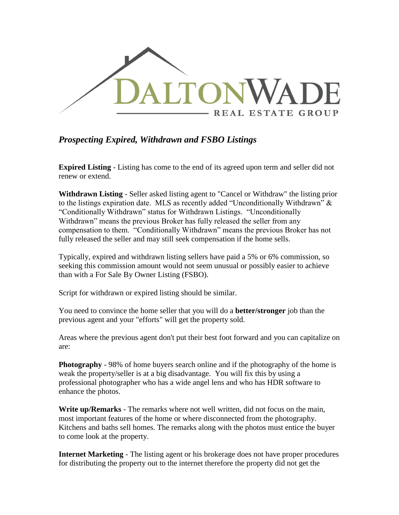

# *Prospecting Expired, Withdrawn and FSBO Listings*

**Expired Listing** - Listing has come to the end of its agreed upon term and seller did not renew or extend.

**Withdrawn Listing** - Seller asked listing agent to "Cancel or Withdraw" the listing prior to the listings expiration date. MLS as recently added "Unconditionally Withdrawn"  $\&$ "Conditionally Withdrawn" status for Withdrawn Listings. "Unconditionally Withdrawn" means the previous Broker has fully released the seller from any compensation to them. "Conditionally Withdrawn" means the previous Broker has not fully released the seller and may still seek compensation if the home sells.

Typically, expired and withdrawn listing sellers have paid a 5% or 6% commission, so seeking this commission amount would not seem unusual or possibly easier to achieve than with a For Sale By Owner Listing (FSBO).

Script for withdrawn or expired listing should be similar.

You need to convince the home seller that you will do a **better/stronger** job than the previous agent and your "efforts" will get the property sold.

Areas where the previous agent don't put their best foot forward and you can capitalize on are:

**Photography** - 98% of home buyers search online and if the photography of the home is weak the property/seller is at a big disadvantage. You will fix this by using a professional photographer who has a wide angel lens and who has HDR software to enhance the photos.

**Write up/Remarks** - The remarks where not well written, did not focus on the main, most important features of the home or where disconnected from the photography. Kitchens and baths sell homes. The remarks along with the photos must entice the buyer to come look at the property.

**Internet Marketing** - The listing agent or his brokerage does not have proper procedures for distributing the property out to the internet therefore the property did not get the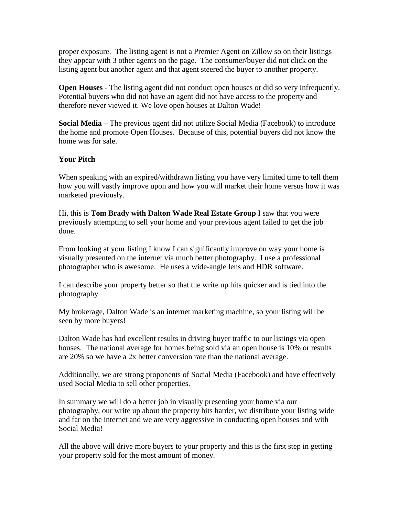proper exposure. The listing agent is not a Premier Agent on Zillow so on their listings they appear with 3 other agents on the page. The consumer/buyer did not click on the listing agent but another agent and that agent steered the buyer to another property.

**Open Houses** - The listing agent did not conduct open houses or did so very infrequently. Potential buyers who did not have an agent did not have access to the property and therefore never viewed it. We love open houses at Dalton Wade!

**Social Media** – The previous agent did not utilize Social Media (Facebook) to introduce the home and promote Open Houses. Because of this, potential buyers did not know the home was for sale.

## **Your Pitch**

When speaking with an expired/withdrawn listing you have very limited time to tell them how you will vastly improve upon and how you will market their home versus how it was marketed previously.

Hi, this is **Tom Brady with Dalton Wade Real Estate Group** I saw that you were previously attempting to sell your home and your previous agent failed to get the job done.

From looking at your listing I know I can significantly improve on way your home is visually presented on the internet via much better photography. I use a professional photographer who is awesome. He uses a wide-angle lens and HDR software.

I can describe your property better so that the write up hits quicker and is tied into the photography.

My brokerage, Dalton Wade is an internet marketing machine, so your listing will be seen by more buyers!

Dalton Wade has had excellent results in driving buyer traffic to our listings via open houses. The national average for homes being sold via an open house is 10% or results are 20% so we have a 2x better conversion rate than the national average.

Additionally, we are strong proponents of Social Media (Facebook) and have effectively used Social Media to sell other properties.

In summary we will do a better job in visually presenting your home via our photography, our write up about the property hits harder, we distribute your listing wide and far on the internet and we are very aggressive in conducting open houses and with Social Media!

All the above will drive more buyers to your property and this is the first step in getting your property sold for the most amount of money.